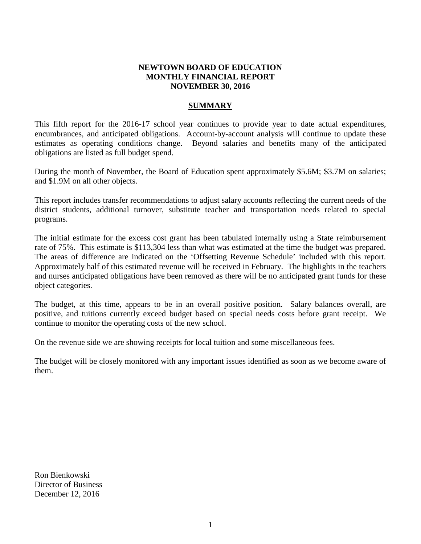# **NEWTOWN BOARD OF EDUCATION MONTHLY FINANCIAL REPORT NOVEMBER 30, 2016**

# **SUMMARY**

This fifth report for the 2016-17 school year continues to provide year to date actual expenditures, encumbrances, and anticipated obligations. Account-by-account analysis will continue to update these estimates as operating conditions change. Beyond salaries and benefits many of the anticipated obligations are listed as full budget spend.

During the month of November, the Board of Education spent approximately \$5.6M; \$3.7M on salaries; and \$1.9M on all other objects.

This report includes transfer recommendations to adjust salary accounts reflecting the current needs of the district students, additional turnover, substitute teacher and transportation needs related to special programs.

The initial estimate for the excess cost grant has been tabulated internally using a State reimbursement rate of 75%. This estimate is \$113,304 less than what was estimated at the time the budget was prepared. The areas of difference are indicated on the 'Offsetting Revenue Schedule' included with this report. Approximately half of this estimated revenue will be received in February. The highlights in the teachers and nurses anticipated obligations have been removed as there will be no anticipated grant funds for these object categories.

The budget, at this time, appears to be in an overall positive position. Salary balances overall, are positive, and tuitions currently exceed budget based on special needs costs before grant receipt. We continue to monitor the operating costs of the new school.

On the revenue side we are showing receipts for local tuition and some miscellaneous fees.

The budget will be closely monitored with any important issues identified as soon as we become aware of them.

Ron Bienkowski Director of Business December 12, 2016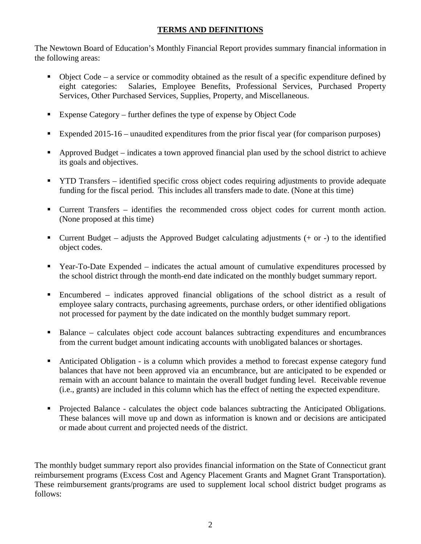# **TERMS AND DEFINITIONS**

The Newtown Board of Education's Monthly Financial Report provides summary financial information in the following areas:

- $\bullet$  Object Code a service or commodity obtained as the result of a specific expenditure defined by eight categories: Salaries, Employee Benefits, Professional Services, Purchased Property Services, Other Purchased Services, Supplies, Property, and Miscellaneous.
- Expense Category further defines the type of expense by Object Code
- Expended 2015-16 unaudited expenditures from the prior fiscal year (for comparison purposes)
- Approved Budget indicates a town approved financial plan used by the school district to achieve its goals and objectives.
- **TYTD Transfers** identified specific cross object codes requiring adjustments to provide adequate funding for the fiscal period. This includes all transfers made to date. (None at this time)
- Current Transfers identifies the recommended cross object codes for current month action. (None proposed at this time)
- Current Budget adjusts the Approved Budget calculating adjustments  $(+)$  or  $-)$  to the identified object codes.
- Year-To-Date Expended indicates the actual amount of cumulative expenditures processed by the school district through the month-end date indicated on the monthly budget summary report.
- Encumbered indicates approved financial obligations of the school district as a result of employee salary contracts, purchasing agreements, purchase orders, or other identified obligations not processed for payment by the date indicated on the monthly budget summary report.
- Balance calculates object code account balances subtracting expenditures and encumbrances from the current budget amount indicating accounts with unobligated balances or shortages.
- Anticipated Obligation is a column which provides a method to forecast expense category fund balances that have not been approved via an encumbrance, but are anticipated to be expended or remain with an account balance to maintain the overall budget funding level. Receivable revenue (i.e., grants) are included in this column which has the effect of netting the expected expenditure.
- Projected Balance calculates the object code balances subtracting the Anticipated Obligations. These balances will move up and down as information is known and or decisions are anticipated or made about current and projected needs of the district.

The monthly budget summary report also provides financial information on the State of Connecticut grant reimbursement programs (Excess Cost and Agency Placement Grants and Magnet Grant Transportation). These reimbursement grants/programs are used to supplement local school district budget programs as follows: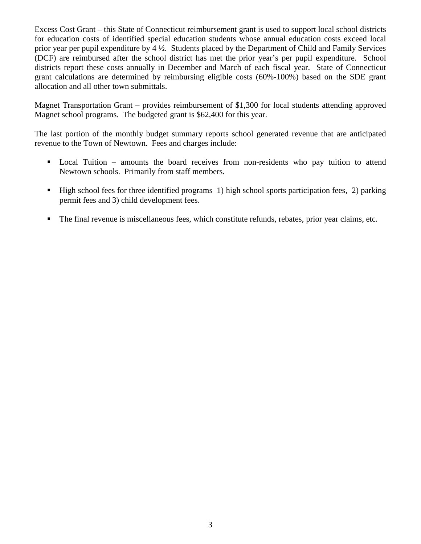Excess Cost Grant – this State of Connecticut reimbursement grant is used to support local school districts for education costs of identified special education students whose annual education costs exceed local prior year per pupil expenditure by 4 ½. Students placed by the Department of Child and Family Services (DCF) are reimbursed after the school district has met the prior year's per pupil expenditure. School districts report these costs annually in December and March of each fiscal year. State of Connecticut grant calculations are determined by reimbursing eligible costs (60%-100%) based on the SDE grant allocation and all other town submittals.

Magnet Transportation Grant – provides reimbursement of \$1,300 for local students attending approved Magnet school programs. The budgeted grant is \$62,400 for this year.

The last portion of the monthly budget summary reports school generated revenue that are anticipated revenue to the Town of Newtown. Fees and charges include:

- Local Tuition amounts the board receives from non-residents who pay tuition to attend Newtown schools. Primarily from staff members.
- High school fees for three identified programs 1) high school sports participation fees, 2) parking permit fees and 3) child development fees.
- The final revenue is miscellaneous fees, which constitute refunds, rebates, prior year claims, etc.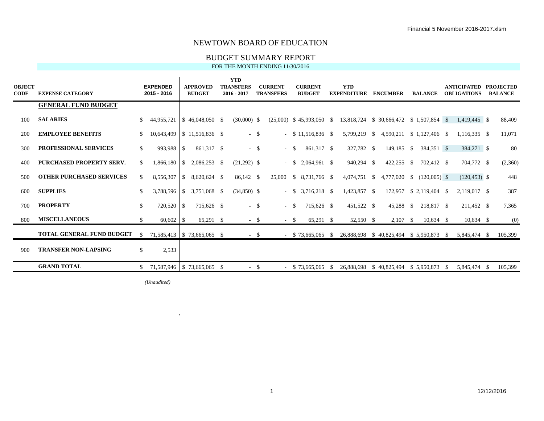### BUDGET SUMMARY REPORT

FOR THE MONTH ENDING 11/30/2016

| <b>OBJECT</b><br><b>CODE</b> | <b>EXPENSE CATEGORY</b>          |               | <b>EXPENDED</b><br>2015 - 2016        |    | <b>APPROVED</b><br><b>BUDGET</b> | <b>YTD</b><br><b>TRANSFERS</b><br>$2016 - 2017$ |        | <b>CURRENT</b><br><b>TRANSFERS</b> | <b>CURRENT</b><br><b>BUDGET</b> |              | <b>YTD</b><br><b>EXPENDITURE</b>         | <b>ENCUMBER</b>                        | <b>BALANCE</b>          |     | <b>ANTICIPATED</b><br><b>OBLIGATIONS</b> | <b>PROJECTED</b><br><b>BALANCE</b> |
|------------------------------|----------------------------------|---------------|---------------------------------------|----|----------------------------------|-------------------------------------------------|--------|------------------------------------|---------------------------------|--------------|------------------------------------------|----------------------------------------|-------------------------|-----|------------------------------------------|------------------------------------|
|                              | <b>GENERAL FUND BUDGET</b>       |               |                                       |    |                                  |                                                 |        |                                    |                                 |              |                                          |                                        |                         |     |                                          |                                    |
| 100                          | <b>SALARIES</b>                  | -SS           | 44,955,721                            |    | $$46.048.050$ \, \$              | $(30,000)$ \$                                   |        |                                    | $(25.000)$ \$ 45.993.050 \$     |              | 13,818,724 \$ 30,666,472 \$ 1,507,854 \$ |                                        |                         |     | 1.419.445 \$                             | 88,409                             |
| 200                          | <b>EMPLOYEE BENEFITS</b>         |               |                                       |    | 10,643,499 \\$ 11,516,836 \\$    |                                                 | $-$ \$ |                                    | $-$ \$ 11,516,836 \$            |              |                                          | 5,799,219 \$ 4,590,211 \$ 1,127,406 \$ |                         |     | $1,116,335$ \$                           | 11,071                             |
| 300                          | <b>PROFESSIONAL SERVICES</b>     | <sup>S</sup>  | 993,988                               | -S | 861,317 \$                       |                                                 | $-$ \$ | $-$ \$                             | 861,317 \$                      |              | 327,782 \$                               | 149,185 \$                             | 384,351 \$              |     | 384,271 \$                               | 80                                 |
| 400                          | <b>PURCHASED PROPERTY SERV.</b>  | -S            | $1,866,180$ \$                        |    | 2,086,253 \$                     | $(21,292)$ \$                                   |        | $-$ \$                             | 2,064,961 \$                    |              | 940,294 \$                               | $422,255$ \$                           | 702,412 \$              |     | 704,772 \$                               | (2,360)                            |
| 500                          | <b>OTHER PURCHASED SERVICES</b>  | <sup>S</sup>  | 8,556,307                             |    |                                  | 86,142 \$                                       |        | 25,000                             |                                 |              | $4,074,751$ \$                           | 4,777,020 \$                           | $(120,005)$ \$          |     | $(120, 453)$ \$                          | 448                                |
| 600                          | <b>SUPPLIES</b>                  | <sup>\$</sup> |                                       |    | $3,788,596$ \ \$ 3,751,068 \ \$  | $(34,850)$ \$                                   |        | $-$ S                              | $3,716,218$ \$                  |              | 1,423,857 \$                             |                                        | 172,957 \$ 2,119,404 \$ |     | 2.119.017 \$                             | 387                                |
| 700                          | <b>PROPERTY</b>                  | <sup>S</sup>  | 720,520                               | -S | 715.626 \$                       |                                                 | $-$ \$ | $-$ \$                             | 715,626 \$                      |              | 451,522 \$                               | 45,288 \$                              | 218,817 \$              |     | 211,452 \$                               | 7,365                              |
| 800                          | <b>MISCELLANEOUS</b>             | \$.           |                                       |    | 65,291 \$                        |                                                 | $-$ \$ | $-$ \$                             | 65,291 \$                       |              | 52,550 \$                                | $2,107$ \$                             | $10,634$ \$             |     | $10,634$ \$                              | (0)                                |
|                              | <b>TOTAL GENERAL FUND BUDGET</b> | <sup>\$</sup> | 71,585,413   \$73,665,065 \$          |    |                                  |                                                 | $-$ \$ |                                    | $-$ \$ 73,665,065               | <sup>S</sup> | 26,888,698                               | $$40,825,494 \$5,950,873 \$$           |                         |     | 5,845,474 \$                             | 105,399                            |
| 900                          | <b>TRANSFER NON-LAPSING</b>      | S.            | 2,533                                 |    |                                  |                                                 |        |                                    |                                 |              |                                          |                                        |                         |     |                                          |                                    |
|                              | <b>GRAND TOTAL</b>               |               | $$71,587,946 \mid $73,665,065 \mid $$ |    |                                  |                                                 | $-$ \$ |                                    | $-$ \$ 73,665,065               | - \$         | 26,888,698                               | \$40,825,494                           | \$5,950,873             | - S | 5,845,474 \$                             | 105,399                            |

*(Unaudited)*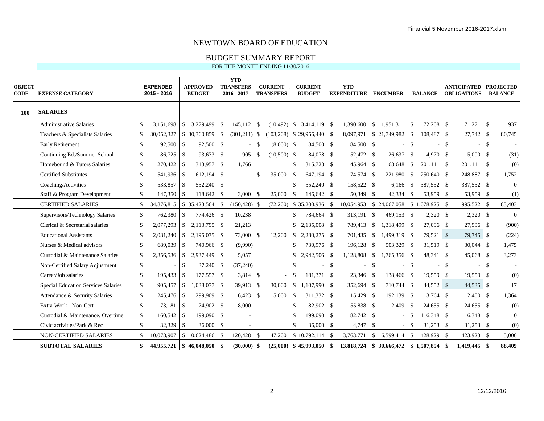### BUDGET SUMMARY REPORT

| <b>OBJECT</b><br><b>CODE</b> | <b>EXPENSE CATEGORY</b>                    |     | <b>EXPENDED</b><br>2015 - 2016 |                | <b>APPROVED</b><br><b>BUDGET</b> |      | <b>YTD</b><br><b>TRANSFERS</b><br>$2016 - 2017$ |      | <b>CURRENT</b><br><b>TRANSFERS</b> |               | <b>CURRENT</b><br><b>BUDGET</b> | <b>YTD</b><br><b>EXPENDITURE</b>         |               | <b>ENCUMBER</b>            |              | <b>BALANCE</b>  |      | <b>ANTICIPATED PROJECTED</b><br><b>OBLIGATIONS</b> |      | <b>BALANCE</b>   |
|------------------------------|--------------------------------------------|-----|--------------------------------|----------------|----------------------------------|------|-------------------------------------------------|------|------------------------------------|---------------|---------------------------------|------------------------------------------|---------------|----------------------------|--------------|-----------------|------|----------------------------------------------------|------|------------------|
| 100                          | <b>SALARIES</b>                            |     |                                |                |                                  |      |                                                 |      |                                    |               |                                 |                                          |               |                            |              |                 |      |                                                    |      |                  |
|                              | <b>Administrative Salaries</b>             | S.  | 3,151,698                      | l \$           | 3,279,499                        | - \$ | 145,112 \$                                      |      | $(10, 492)$ \$                     |               | 3,414,119 \$                    | 1.390.600                                | -\$           | 1,951,311 \$               |              | 72,208 \$       |      | 71,271 \$                                          |      | 937              |
|                              | Teachers & Specialists Salaries            | \$  | 30,052,327                     |                | $$30,360,859$ \$                 |      | $(301,211)$ \$                                  |      |                                    |               | $(103,208)$ \$ 29,956,440 \$    |                                          |               | 8,097,971 \$ 21,749,982 \$ |              | 108,487 \$      |      | 27,742 \$                                          |      | 80,745           |
|                              | <b>Early Retirement</b>                    | \$  | 92,500 \$                      |                | 92,500 \$                        |      | $\sim$                                          | - \$ | $(8,000)$ \$                       |               | 84,500 \$                       | 84,500 \$                                |               |                            | \$           | $\overline{a}$  | -\$  |                                                    | $-5$ |                  |
|                              | Continuing Ed./Summer School               | S.  |                                |                | 93,673 \$                        |      | 905 \$                                          |      | $(10,500)$ \$                      |               | 84,078 \$                       | 52,472 \$                                |               | 26,637 \$                  |              | 4,970 \$        |      | $5,000$ \$                                         |      | (31)             |
|                              | Homebound & Tutors Salaries                | \$  | 270,422 \$                     |                | 313,957 \$                       |      | 1,766                                           |      |                                    | -S            | 315,723 \$                      | 45,964 \$                                |               | 68,648                     | - \$         | 201,111 \$      |      | 201.111 \$                                         |      | (0)              |
|                              | <b>Certified Substitutes</b>               | \$  | 541,936 \$                     |                | 612,194 \$                       |      | $\sim$                                          | - \$ | 35,000                             | - \$          | 647.194 \$                      | 174,574 \$                               |               | 221,980                    | <b>S</b>     | 250,640 \$      |      | 248,887 \$                                         |      | 1,752            |
|                              | Coaching/Activities                        | \$. | 533,857                        | l \$           | 552,240 \$                       |      |                                                 |      |                                    | -S            | 552,240 \$                      | 158,522 \$                               |               | 6,166                      | <sup>S</sup> | 387,552 \$      |      | 387,552 \$                                         |      | $\boldsymbol{0}$ |
|                              | Staff & Program Development                | \$  | 147,350 \$                     |                | 118,642 \$                       |      | $3,000$ \$                                      |      | 25,000                             | -\$           | 146,642 \$                      | 50,349 \$                                |               | 42,334 \$                  |              | 53,959 \$       |      | 53,959 \$                                          |      | (1)              |
|                              | <b>CERTIFIED SALARIES</b>                  | \$  | 34,876,815                     |                | $$35,423,564$ \\$                |      | $(150, 428)$ \$                                 |      |                                    |               | $(72,200)$ \$ 35,200,936 \$     | 10,054,953                               |               | \$24,067,058               |              | $$1,078,925$ \; |      | 995,522 \$                                         |      | 83,403           |
|                              | Supervisors/Technology Salaries            | \$  | 762,380                        | -\$            | 774,426 \$                       |      | 10,238                                          |      |                                    | $\mathbb{S}$  | 784,664 \$                      | 313,191                                  | - \$          | 469,153 \$                 |              | $2,320$ \$      |      | $2,320$ \$                                         |      | $\mathbf{0}$     |
|                              | Clerical & Secretarial salaries            | \$  | 2,077,293                      | IS.            | 2.113.795 \$                     |      | 21,213                                          |      |                                    | \$            | 2.135,008 \$                    | 789,413 \$                               |               | 1,318,499 \$               |              | 27,096 \$       |      | 27,996 \$                                          |      | (900)            |
|                              | <b>Educational Assistants</b>              | \$. | 2,081,240                      | $\overline{1}$ | 2,195,075 \$                     |      | 73,000 \$                                       |      | 12,200                             | \$            | 2,280,275 \$                    | 701,435 \$                               |               | 1,499,319 \$               |              | 79,521 \$       |      | 79,745 \$                                          |      | (224)            |
|                              | Nurses & Medical advisors                  | S.  | 689,039                        | l \$           | 740,966 \$                       |      | (9,990)                                         |      |                                    | <sup>\$</sup> | 730,976 \$                      | 196,128 \$                               |               | 503,329 \$                 |              | 31,519 \$       |      | 30,044 \$                                          |      | 1,475            |
|                              | Custodial & Maintenance Salaries           | \$  | $2,856,536$ \$                 |                | 2,937,449 \$                     |      | 5,057                                           |      |                                    | -S            | 2,942,506 \$                    | 1,128,808                                | - \$          | 1,765,356 \$               |              | 48,341 \$       |      | 45,068 \$                                          |      | 3,273            |
|                              | Non-Certified Salary Adjustment            | \$  |                                | <sup>\$</sup>  | 37,240 \$                        |      | (37, 240)                                       |      |                                    | -S            | $\sim$                          | \$                                       | -S            | $\sim$                     | $\mathbb{S}$ | $\sim$          | - \$ |                                                    | $-5$ |                  |
|                              | Career/Job salaries                        | \$  | 195,433 \$                     |                | 177,557 \$                       |      | $3,814$ \$                                      |      | $\sim$                             | -\$           | 181,371 \$                      | 23,346 \$                                |               | 138,466 \$                 |              | 19,559 \$       |      | 19,559 \$                                          |      | (0)              |
|                              | <b>Special Education Services Salaries</b> | \$  |                                |                | 1,038,077 \$                     |      | 39,913 \$                                       |      | 30,000                             | -S            | 1.107.990 \$                    | 352,694 \$                               |               | 710,744 \$                 |              | 44,552 \$       |      | 44,535 \$                                          |      | 17               |
|                              | Attendance & Security Salaries             | \$  | 245,476 \$                     |                | 299,909 \$                       |      | $6,423$ \$                                      |      | 5,000                              | -\$           | 311,332 \$                      | 115,429 \$                               |               | 192,139 \$                 |              | $3,764$ \$      |      | $2,400$ \$                                         |      | 1,364            |
|                              | Extra Work - Non-Cert                      | \$  | 73.181                         | $\overline{1}$ | 74,902 \$                        |      | 8,000                                           |      |                                    | $\mathcal{S}$ | 82.902 \$                       | 55,838 \$                                |               | 2,409                      | <b>S</b>     | 24,655 \$       |      | 24,655 \$                                          |      | (0)              |
|                              | Custodial & Maintenance. Overtime          | \$  | 160,542 \$                     |                | 199,090 \$                       |      |                                                 |      |                                    | -8            | 199,090 \$                      | 82,742 \$                                |               |                            | $-$ \$       | 116,348 \$      |      | 116,348 \$                                         |      | $\mathbf{0}$     |
|                              | Civic activities/Park & Rec                | \$  | 32,329                         | l S            | $36,000$ \$                      |      |                                                 |      |                                    | $\mathcal{S}$ | 36,000 \$                       | $4,747$ \$                               |               |                            | $-$ \$       | $31,253$ \$     |      | $31,253$ \$                                        |      | (0)              |
|                              | <b>NON-CERTIFIED SALARIES</b>              | \$  | 10,078,907                     |                | $$10,624,486$ \\$                |      | 120,428 \$                                      |      | 47,200                             |               | $$10,792,114$ \ \$              | 3,763,771                                | <sup>\$</sup> | 6,599,414                  | - \$         | 428,929 \$      |      | 423,923 \$                                         |      | 5,006            |
|                              | <b>SUBTOTAL SALARIES</b>                   | \$  | 44,955,721                     |                | $$46,048,050$ \$                 |      | $(30,000)$ \$                                   |      |                                    |               | $(25,000)$ \$ 45,993,050 \$     | 13,818,724 \$ 30,666,472 \$ 1,507,854 \$ |               |                            |              |                 |      | 1,419,445 \$                                       |      | 88,409           |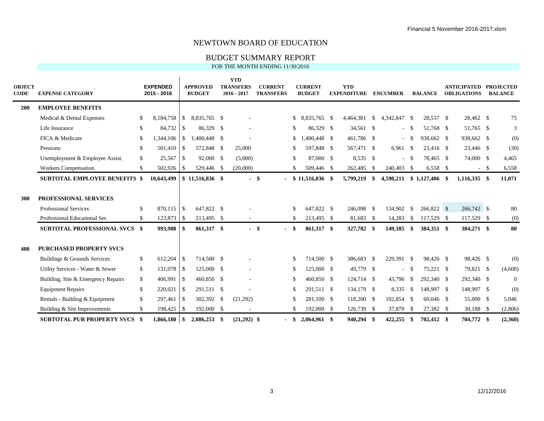### BUDGET SUMMARY REPORT

| <b>OBJECT</b><br><b>CODE</b> | <b>EXPENSE CATEGORY</b>              |               | <b>EXPENDED</b><br>2015 - 2016 |               | <b>APPROVED</b><br><b>BUDGET</b> | <b>YTD</b><br><b>TRANSFERS</b><br>$2016 - 2017$ |        | <b>CURRENT</b><br><b>TRANSFERS</b> |               | <b>CURRENT</b><br><b>BUDGET</b> | <b>YTD</b><br><b>EXPENDITURE</b> |      | <b>ENCUMBER</b> |          | <b>BALANCE</b>   | <b>ANTICIPATED PROJECTED</b><br><b>OBLIGATIONS</b> |        | <b>BALANCE</b> |
|------------------------------|--------------------------------------|---------------|--------------------------------|---------------|----------------------------------|-------------------------------------------------|--------|------------------------------------|---------------|---------------------------------|----------------------------------|------|-----------------|----------|------------------|----------------------------------------------------|--------|----------------|
| <b>200</b>                   | <b>EMPLOYEE BENEFITS</b>             |               |                                |               |                                  |                                                 |        |                                    |               |                                 |                                  |      |                 |          |                  |                                                    |        |                |
|                              | Medical & Dental Expenses            | \$            | 8,184,758                      | $\mathbb{S}$  | 8,835,765 \$                     |                                                 |        |                                    | \$            | 8,835,765 \$                    | 4,464,381 \$                     |      | 4,342,847 \$    |          | 28,537 \$        | 28,462 \$                                          |        | 75             |
|                              | Life Insurance                       | -S            | 84,732                         | $\mathbb{S}$  | 86,329 \$                        |                                                 |        |                                    | \$.           | 86,329 \$                       | 34,561 \$                        |      |                 | $-$ \$   | 51,768 \$        | 51,765 \$                                          |        | 3              |
|                              | FICA & Medicare                      | <sup>\$</sup> | 1,344,106                      | <sup>\$</sup> | 1,400,448 \$                     |                                                 |        |                                    | \$            | $1,400,448$ \$                  | 461,786 \$                       |      |                 | $- S$    | 938,662 \$       | 938,662 \$                                         |        | (0)            |
|                              | Pensions                             | \$            | 501,410                        | \$            | 572,848 \$                       | 25,000                                          |        |                                    | \$.           | 597,848 \$                      | 567,471 \$                       |      | $6,961$ \$      |          | 23,416 \$        | 23,446 \$                                          |        | (30)           |
|                              | Unemployment & Employee Assist.      | \$            | 25,567                         | <sup>\$</sup> | 92,000 \$                        | (5,000)                                         |        |                                    | \$            | 87,000 \$                       | $8,535$ \$                       |      |                 | $-$ \$   | 78,465 \$        | 74,000 \$                                          |        | 4,465          |
|                              | <b>Workers Compensation</b>          | \$            | 502,926                        | <sup>\$</sup> | 529,446 \$                       | (20,000)                                        |        |                                    |               | 509,446 \$                      | 262,485                          | - \$ | 240,403 \$      |          | $6,558$ \$       |                                                    | $-$ \$ | 6,558          |
|                              | <b>SUBTOTAL EMPLOYEE BENEFITS \$</b> |               | 10,643,499                     |               | $$11,516,836$ \$                 |                                                 | $-$ \$ |                                    |               | $$11,516,836$ \,                | 5,799,219                        | -\$  | 4,590,211       |          | $$1,127,406$ \\$ | $1,116,335$ \$                                     |        | 11,071         |
| 300                          | PROFESSIONAL SERVICES                |               |                                |               |                                  |                                                 |        |                                    |               |                                 |                                  |      |                 |          |                  |                                                    |        |                |
|                              | <b>Professional Services</b>         | <sup>\$</sup> | 870,115                        | -S            | 647,822 \$                       |                                                 |        |                                    | <sup>\$</sup> | 647,822 \$                      | 246,098 \$                       |      | 134,902         | <b>S</b> | 266,822 \$       | 266,742 \$                                         |        | 80             |
|                              | Professional Educational Ser.        | \$            | 123,873                        | \$            | 213,495 \$                       |                                                 |        |                                    | <sup>\$</sup> | 213,495 \$                      | 81,683 \$                        |      | 14,283          | - \$     | 117,529 \$       | 117,529 \$                                         |        | (0)            |
|                              | <b>SUBTOTAL PROFESSIONAL SVCS \$</b> |               | 993,988                        | -SS           | 861,317 \$                       |                                                 | $-$ \$ | $\sim$                             | -S            | 861,317 \$                      | 327,782 \$                       |      | 149,185         | -\$      | 384,351 \$       | 384,271 \$                                         |        | 80             |
| 400                          | <b>PURCHASED PROPERTY SVCS</b>       |               |                                |               |                                  |                                                 |        |                                    |               |                                 |                                  |      |                 |          |                  |                                                    |        |                |
|                              | Buildings & Grounds Services         | <sup>\$</sup> | 612,204                        | <sup>S</sup>  | 714,500 \$                       |                                                 |        |                                    | <sup>\$</sup> | 714,500 \$                      | 386,683 \$                       |      | 229,391 \$      |          | 98,426 \$        | 98,426 \$                                          |        | (0)            |
|                              | Utility Services - Water & Sewer     | \$            | 131,078                        | <sup>S</sup>  | 125,000 \$                       |                                                 |        |                                    | <sup>\$</sup> | 125,000 \$                      | 49,779 \$                        |      |                 | $-$ \$   | 75,221 \$        | 79,821 \$                                          |        | (4,600)        |
|                              | Building, Site & Emergency Repairs   | \$            | 406,991                        | <sup>S</sup>  | 460,850 \$                       |                                                 |        |                                    | \$.           | 460,850 \$                      | 124,714 \$                       |      | 43,796 \$       |          | 292,340 \$       | 292,340 \$                                         |        | $\overline{0}$ |
|                              | <b>Equipment Repairs</b>             | <sup>\$</sup> | 220,021                        | <sup>\$</sup> | 291,511 \$                       |                                                 |        |                                    | <sup>\$</sup> | 291,511 \$                      | 134,179 \$                       |      | $8,335$ \$      |          | 148,997 \$       | 148,997 \$                                         |        | (0)            |
|                              | Rentals - Building & Equipment       | \$            | 297,461                        | \$            | 302,392 \$                       | (21,292)                                        |        |                                    | \$.           | 281,100 \$                      | 118,200 \$                       |      | 102,854 \$      |          | $60,046$ \$      | 55,000 \$                                          |        | 5,046          |
|                              | Building & Site Improvements         | \$            | 198,425                        | - \$          | 192,000 \$                       |                                                 |        |                                    | \$.           | 192,000 \$                      | 126,739 \$                       |      | 37,879          | -\$      | 27,382 \$        | 30,188 \$                                          |        | (2,806)        |
|                              | <b>SUBTOTAL PUR PROPERTY SVCS</b>    | - \$          |                                |               | $2,086,253$ \$                   | $(21,292)$ \$                                   |        |                                    | S             | 2,064,961 \$                    | 940,294 \$                       |      | 422,255         | - \$     | 702,412 \$       | 704,772 \$                                         |        | (2,360)        |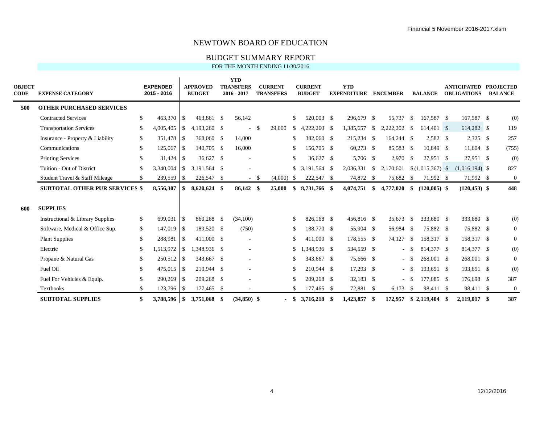### BUDGET SUMMARY REPORT

| <b>OBJECT</b><br><b>CODE</b> | <b>EXPENSE CATEGORY</b>               |               | <b>EXPENDED</b><br>2015 - 2016 |               | <b>APPROVED</b><br><b>BUDGET</b> | <b>YTD</b><br><b>TRANSFERS</b><br>$2016 - 2017$ |               | <b>CURRENT</b><br><b>TRANSFERS</b> |               | <b>CURRENT</b><br><b>BUDGET</b> |      | <b>YTD</b><br><b>EXPENDITURE</b> |               | <b>ENCUMBER</b> |            | <b>BALANCE</b> |    | <b>ANTICIPATED</b><br><b>OBLIGATIONS</b> | <b>PROJECTED</b><br><b>BALANCE</b> |
|------------------------------|---------------------------------------|---------------|--------------------------------|---------------|----------------------------------|-------------------------------------------------|---------------|------------------------------------|---------------|---------------------------------|------|----------------------------------|---------------|-----------------|------------|----------------|----|------------------------------------------|------------------------------------|
| 500                          | <b>OTHER PURCHASED SERVICES</b>       |               |                                |               |                                  |                                                 |               |                                    |               |                                 |      |                                  |               |                 |            |                |    |                                          |                                    |
|                              | <b>Contracted Services</b>            | <sup>\$</sup> | 463,370                        | <sup>\$</sup> | 463.861 \$                       | 56,142                                          |               |                                    | \$            | 520,003 \$                      |      | 296,679 \$                       |               | 55.737          | - \$       | 167,587 \$     |    | 167,587 \$                               | (0)                                |
|                              | <b>Transportation Services</b>        | -S            | 4,005,405                      | <sup>S</sup>  | 4,193,260 \$                     |                                                 | <sup>\$</sup> | 29,000                             | <sup>\$</sup> | $4,222,260$ \$                  |      | 1,385,657                        | <sup>\$</sup> | 2,222,202       | - \$       | 614,401 \$     |    | 614,282 \$                               | 119                                |
|                              | Insurance - Property & Liability      | \$            | 351,478                        | \$            | 368,060 \$                       | 14,000                                          |               |                                    | \$.           | 382,060 \$                      |      | 215,234 \$                       |               | 164,244 \$      |            | $2,582$ \$     |    | $2,325$ \$                               | 257                                |
|                              | Communications                        | \$            | 125,067                        | <sup>\$</sup> | 140,705 \$                       | 16,000                                          |               |                                    | \$            | 156,705 \$                      |      | 60,273 \$                        |               | 85,583 \$       |            | 10,849 \$      |    | 11,604 \$                                | (755)                              |
|                              | <b>Printing Services</b>              | <sup>\$</sup> | 31,424                         | <sup>S</sup>  | 36,627 \$                        |                                                 |               |                                    | \$            | 36,627 \$                       |      | 5,706 \$                         |               | $2,970$ \$      |            | 27,951 \$      |    | 27,951 \$                                | (0)                                |
|                              | Tuition - Out of District             | <sup>\$</sup> | 3,340,004                      | <sup>\$</sup> | 3.191.564 \$                     |                                                 |               |                                    | \$.           | 3,191,564 \$                    |      | 2,036,331 \$                     |               | 2,170,601       |            |                |    | $(1,016,194)$ \$                         | 827                                |
|                              | Student Travel & Staff Mileage        | S.            | 239,559                        | $\mathcal{S}$ | 226,547 \$                       |                                                 | $-$ \$        | $(4,000)$ \$                       |               | 222,547 \$                      |      | 74,872 \$                        |               | 75,682 \$       |            | 71,992 \$      |    | 71,992 \$                                | $\boldsymbol{0}$                   |
|                              | <b>SUBTOTAL OTHER PUR SERVICES \$</b> |               | 8,556,307                      | \$            | 8,620,624 \$                     | 86,142 \$                                       |               | 25,000                             | \$            | 8,731,766 \$                    |      | $4,074,751$ \$                   |               | 4,777,020       | -\$        | $(120,005)$ \$ |    | $(120, 453)$ \$                          | 448                                |
| 600                          | <b>SUPPLIES</b>                       |               |                                |               |                                  |                                                 |               |                                    |               |                                 |      |                                  |               |                 |            |                |    |                                          |                                    |
|                              | Instructional & Library Supplies      | \$            | 699,031                        | <sup>S</sup>  | 860,268 \$                       | (34,100)                                        |               |                                    |               | 826,168 \$                      |      | 456,816 \$                       |               | 35,673          | - \$       | 333,680 \$     |    | 333,680 \$                               | (0)                                |
|                              | Software, Medical & Office Sup.       | \$            | 147,019                        | <sup>\$</sup> | 189,520 \$                       | (750)                                           |               |                                    | \$.           | 188,770 \$                      |      | 55,904 \$                        |               | 56,984 \$       |            | 75,882 \$      |    | 75,882 \$                                | $\overline{0}$                     |
|                              | <b>Plant Supplies</b>                 | <sup>\$</sup> | 288,981                        | <sup>\$</sup> | 411,000 \$                       |                                                 |               |                                    | \$            | 411,000 \$                      |      | 178,555 \$                       |               | 74,127          | - \$       | 158.317 \$     |    | 158,317 \$                               | $\overline{0}$                     |
|                              | Electric                              | -S            | 1,513,972                      | <sup>\$</sup> | 1,348,936 \$                     |                                                 |               |                                    | S             | 1,348,936 \$                    |      | 534,559 \$                       |               |                 | - \$       | 814,377 \$     |    | 814,377 \$                               | (0)                                |
|                              | Propane & Natural Gas                 | -S            | 250,512                        | \$            | 343,667 \$                       |                                                 |               |                                    | \$.           | 343,667 \$                      |      | 75,666 \$                        |               |                 | $^{\circ}$ | 268,001 \$     |    | 268,001 \$                               | $\mathbf{0}$                       |
|                              | Fuel Oil                              | S.            | 475,015                        | <sup>\$</sup> | 210,944 \$                       |                                                 |               |                                    | \$.           | 210,944 \$                      |      | 17,293 \$                        |               |                 | $-$ \$     | 193,651 \$     |    | 193,651 \$                               | (0)                                |
|                              | Fuel For Vehicles & Equip.            | -S            | 290,269                        | -S            | 209,268 \$                       |                                                 |               |                                    |               | 209.268 \$                      |      | 32,183 \$                        |               |                 | $- S$      | 177,085 \$     |    | 176,698 \$                               | 387                                |
|                              | <b>Textbooks</b>                      | \$            | 123,796                        | - \$          | 177,465 \$                       |                                                 |               |                                    | \$            | 177,465 \$                      |      | 72,881 \$                        |               | 6,173           | - \$       | 98,411 \$      |    | 98,411 \$                                | $\boldsymbol{0}$                   |
|                              | <b>SUBTOTAL SUPPLIES</b>              |               | 3,788,596                      | <sup>\$</sup> | 3,751,068 \$                     | $(34,850)$ \$                                   |               |                                    | <b>S</b>      | 3,716,218                       | - \$ | 1,423,857                        | -\$           | 172,957         |            | \$2,119,404    | -S | 2.119.017 \$                             | 387                                |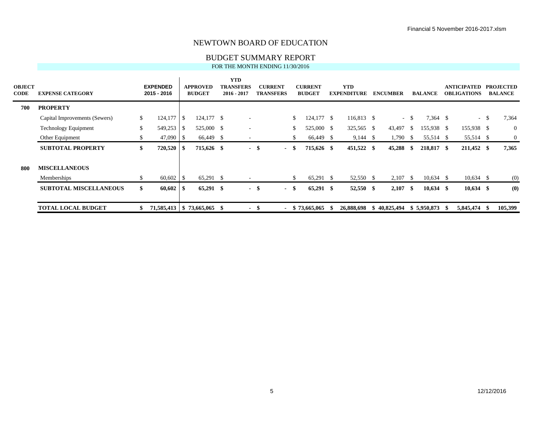### BUDGET SUMMARY REPORT

| <b>OBJECT</b><br><b>CODE</b> | <b>EXPENSE CATEGORY</b>       |               | <b>EXPENDED</b><br>2015 - 2016 |      | <b>APPROVED</b><br><b>BUDGET</b> |    | <b>YTD</b><br><b>TRANSFERS</b><br>$2016 - 2017$ |      | <b>CURRENT</b><br><b>TRANSFERS</b> |      | <b>CURRENT</b><br><b>BUDGET</b> | <b>YTD</b><br><b>EXPENDITURE</b> | <b>ENCUMBER</b> |        | <b>BALANCE</b> | <b>ANTICIPATED</b><br><b>OBLIGATIONS</b> |       | <b>PROJECTED</b><br><b>BALANCE</b> |
|------------------------------|-------------------------------|---------------|--------------------------------|------|----------------------------------|----|-------------------------------------------------|------|------------------------------------|------|---------------------------------|----------------------------------|-----------------|--------|----------------|------------------------------------------|-------|------------------------------------|
| 700                          | <b>PROPERTY</b>               |               |                                |      |                                  |    |                                                 |      |                                    |      |                                 |                                  |                 |        |                |                                          |       |                                    |
|                              | Capital Improvements (Sewers) | \$.           | 124,177                        | -S   | 124,177 \$                       |    | $\overline{a}$                                  |      |                                    | \$.  | $124,177$ \$                    | 116,813 \$                       |                 | $-$ \$ | $7,364$ \$     |                                          | $- S$ | 7,364                              |
|                              | Technology Equipment          | $\mathcal{S}$ | 549,253                        | - \$ | 525,000 \$                       |    |                                                 |      |                                    | \$   | 525,000 \$                      | 325,565 \$                       | 43,497          | - S    | 155,938 \$     | 155,938 \$                               |       | $\overline{0}$                     |
|                              | Other Equipment               |               | $47,090$ \$                    |      | 66,449 \$                        |    |                                                 |      |                                    |      | 66,449 \$                       | $9,144$ \$                       | 1,790           | - S    | 55,514 \$      | 55,514 \$                                |       | $\mathbf{0}$                       |
|                              | <b>SUBTOTAL PROPERTY</b>      | \$            | 720,520                        | ∣S.  | 715,626 \$                       |    |                                                 | - \$ | $\sim$                             | -8   | 715,626 \$                      | 451,522 \$                       | 45,288 \$       |        | 218,817 \$     | 211,452 \$                               |       | 7,365                              |
| -800                         | <b>MISCELLANEOUS</b>          |               |                                |      |                                  |    |                                                 |      |                                    |      |                                 |                                  |                 |        |                |                                          |       |                                    |
|                              | Memberships                   |               | $60,602$ \$                    |      | $65,291$ \$                      |    |                                                 |      |                                    |      | 65,291 \$                       | 52,550 \$                        | 2,107           | - \$   | $10,634$ \$    | $10,634$ \$                              |       | (0)                                |
|                              | <b>SUBTOTAL MISCELLANEOUS</b> | \$            | 60,602                         | ∣\$. | $65,291$ \$                      |    |                                                 | - \$ |                                    | - \$ | 65,291 \$                       | 52,550 \$                        | $2,107$ \$      |        | $10,634$ \$    | $10,634$ \$                              |       | (0)                                |
|                              | <b>TOTAL LOCAL BUDGET</b>     |               | 71,585,413   \$73,665,065      |      |                                  | -8 | $\blacksquare$                                  |      | - \$                               |      | $-$ \$ 73,665,065               | 26,888,698                       | \$40,825,494    |        | \$5,950,873    | 5,845,474 \$                             |       | 105,399                            |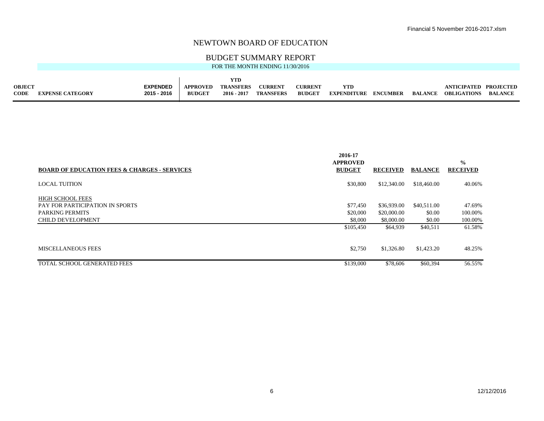### BUDGET SUMMARY REPORT

|  |  | FOR THE MONTH ENDING 11/30/2016 |
|--|--|---------------------------------|
|  |  |                                 |

| <b>OBJECT</b> |                         | <b>EXPENDED</b> | <b>APPROVED</b> | <b>TRANSFERS</b> | <b>CURRENT</b>   | <b>CURRENT</b> |                             |                | ANTICIPATED        | <b>PROJECTED</b> |
|---------------|-------------------------|-----------------|-----------------|------------------|------------------|----------------|-----------------------------|----------------|--------------------|------------------|
| <b>CODE</b>   | <b>EXPENSE CATEGORY</b> | 2015 - 2016     | <b>BUDGET</b>   | $2016 - 2017$    | <b>TRANSFERS</b> | <b>BUDGET</b>  | <b>EXPENDITURE ENCUMBER</b> | <b>BALANCE</b> | <b>OBLIGATIONS</b> | <b>BALANCE</b>   |

|                                                         | 2016-17<br><b>APPROVED</b> |                 |                | $\frac{0}{0}$   |
|---------------------------------------------------------|----------------------------|-----------------|----------------|-----------------|
| <b>BOARD OF EDUCATION FEES &amp; CHARGES - SERVICES</b> | <b>BUDGET</b>              | <b>RECEIVED</b> | <b>BALANCE</b> | <b>RECEIVED</b> |
| <b>LOCAL TUITION</b>                                    | \$30,800                   | \$12,340.00     | \$18,460.00    | 40.06%          |
| <b>HIGH SCHOOL FEES</b>                                 |                            |                 |                |                 |
| PAY FOR PARTICIPATION IN SPORTS                         | \$77,450                   | \$36,939.00     | \$40,511.00    | 47.69%          |
| <b>PARKING PERMITS</b>                                  | \$20,000                   | \$20,000.00     | \$0.00         | 100.00%         |
| <b>CHILD DEVELOPMENT</b>                                | \$8,000                    | \$8,000.00      | \$0.00         | 100.00%         |
|                                                         | \$105,450                  | \$64,939        | \$40,511       | 61.58%          |
| <b>MISCELLANEOUS FEES</b>                               | \$2,750                    | \$1,326.80      | \$1,423.20     | 48.25%          |
| TOTAL SCHOOL GENERATED FEES                             | \$139,000                  | \$78,606        | \$60,394       | 56.55%          |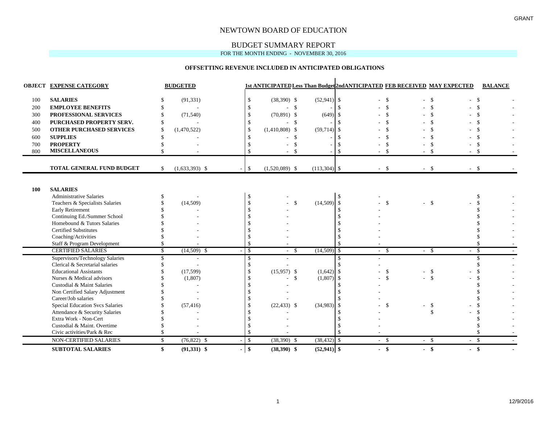### BUDGET SUMMARY REPORT

FOR THE MONTH ENDING - NOVEMBER 30, 2016

#### **OFFSETTING REVENUE INCLUDED IN ANTICIPATED OBLIGATIONS**

|     | <b>OBJECT EXPENSE CATEGORY</b>         | <b>BUDGETED</b>        |                                 |                  |                    |                |      |                    | <b>1st ANTICIPATED Less Than Budget 2ndANTICIPATED FEB RECEIVED MAY EXPECTED</b> | <b>BALANCE</b> |  |
|-----|----------------------------------------|------------------------|---------------------------------|------------------|--------------------|----------------|------|--------------------|----------------------------------------------------------------------------------|----------------|--|
| 100 | <b>SALARIES</b>                        | (91, 331)              | \$                              | $(38,390)$ \$    |                    | $(52,941)$ \$  |      | -\$                | $-5$                                                                             | -\$            |  |
| 200 | <b>EMPLOYEE BENEFITS</b>               | $\sim$                 |                                 |                  | $\mathbf{\hat{S}}$ |                |      |                    |                                                                                  | \$             |  |
| 300 | PROFESSIONAL SERVICES                  | (71, 540)              | $\mathcal{S}$                   | $(70,891)$ \$    |                    | (649)          |      |                    |                                                                                  |                |  |
| 400 | PURCHASED PROPERTY SERV.               |                        | <sup>\$</sup>                   |                  | -\$                |                |      |                    |                                                                                  |                |  |
| 500 | <b>OTHER PURCHASED SERVICES</b>        | (1,470,522)            | $\mathcal{S}$                   | $(1,410,808)$ \$ |                    | (59, 714)      | -\$  |                    |                                                                                  |                |  |
| 600 | <b>SUPPLIES</b>                        |                        |                                 |                  | \$                 |                |      |                    |                                                                                  |                |  |
| 700 | <b>PROPERTY</b>                        |                        |                                 |                  |                    |                |      |                    |                                                                                  | \$.            |  |
| 800 | <b>MISCELLANEOUS</b>                   |                        |                                 |                  | $\mathcal{S}$      |                |      |                    | $-5$<br>- \$                                                                     |                |  |
|     |                                        |                        |                                 |                  |                    |                |      |                    |                                                                                  |                |  |
|     | <b>TOTAL GENERAL FUND BUDGET</b>       | \$<br>$(1,633,393)$ \$ | \$                              | $(1,520,089)$ \$ |                    | $(113,304)$ \$ |      | $-5$               | $-5$<br>$-5$                                                                     |                |  |
|     |                                        |                        |                                 |                  |                    |                |      |                    |                                                                                  |                |  |
| 100 | <b>SALARIES</b>                        |                        |                                 |                  |                    |                |      |                    |                                                                                  |                |  |
|     | <b>Administrative Salaries</b>         |                        |                                 |                  |                    |                |      |                    |                                                                                  |                |  |
|     | Teachers & Specialists Salaries        | (14,509)               |                                 |                  | $\mathcal{S}$      | (14,509)       | -\$  | $\mathcal{S}$      | $-5$                                                                             |                |  |
|     | <b>Early Retirement</b>                |                        |                                 |                  |                    |                |      |                    |                                                                                  |                |  |
|     | Continuing Ed./Summer School           |                        |                                 |                  |                    |                |      |                    |                                                                                  |                |  |
|     | Homebound & Tutors Salaries            |                        |                                 |                  |                    |                |      |                    |                                                                                  |                |  |
|     | <b>Certified Substitutes</b>           |                        |                                 |                  |                    |                |      |                    |                                                                                  |                |  |
|     | Coaching/Activities                    |                        |                                 |                  |                    |                |      |                    |                                                                                  |                |  |
|     | Staff & Program Development            |                        |                                 |                  |                    |                |      |                    |                                                                                  |                |  |
|     | <b>CERTIFIED SALARIES</b>              | \$<br>$(14,509)$ \$    | \$                              | - \$             |                    | (14,509)       | \$   | - \$               | $-$ \$<br>$-5$                                                                   |                |  |
|     | Supervisors/Technology Salaries        |                        | \$.                             |                  |                    |                |      |                    |                                                                                  |                |  |
|     | Clerical & Secretarial salaries        |                        | -S                              |                  |                    |                |      |                    |                                                                                  |                |  |
|     | <b>Educational Assistants</b>          | (17,599)               |                                 | $(15,957)$ \$    |                    | $(1,642)$ \$   |      | $\mathcal{S}$      | $-$ \$                                                                           |                |  |
|     | Nurses & Medical advisors              | (1,807)                |                                 |                  | $\mathcal{S}$      | $(1,807)$ \$   |      | $\mathbf{\hat{S}}$ | $-5$                                                                             |                |  |
|     | Custodial & Maint Salaries             |                        |                                 |                  |                    |                |      |                    |                                                                                  |                |  |
|     | Non Certified Salary Adjustment        |                        |                                 |                  |                    |                |      |                    |                                                                                  |                |  |
|     | Career/Job salaries                    |                        |                                 |                  |                    |                |      |                    |                                                                                  |                |  |
|     | <b>Special Education Svcs Salaries</b> | (57, 416)              |                                 | $(22, 433)$ \$   |                    | (34,983)       | l \$ | -\$                | $-$ \$                                                                           |                |  |
|     | Attendance & Security Salaries         |                        |                                 |                  |                    |                |      |                    |                                                                                  |                |  |
|     | Extra Work - Non-Cert                  |                        |                                 |                  |                    |                |      |                    |                                                                                  |                |  |
|     | Custodial & Maint. Overtime            |                        |                                 |                  |                    |                |      |                    |                                                                                  |                |  |
|     | Civic activities/Park & Rec            |                        |                                 |                  |                    |                |      |                    |                                                                                  |                |  |
|     | NON-CERTIFIED SALARIES                 | \$<br>$(76,822)$ \$    | $\mathcal{S}$                   | $(38,390)$ \$    |                    | $(38, 432)$ \$ |      | $-$ \$             | $-5$<br>$-$ \$                                                                   |                |  |
|     | <b>SUBTOTAL SALARIES</b>               | \$<br>$(91,331)$ \$    | $\mathbf{\$}$<br>$\blacksquare$ | $(38,390)$ \$    |                    | $(52,941)$ \$  |      | $-$ \$             | $-$ \$<br>$-$ \$                                                                 |                |  |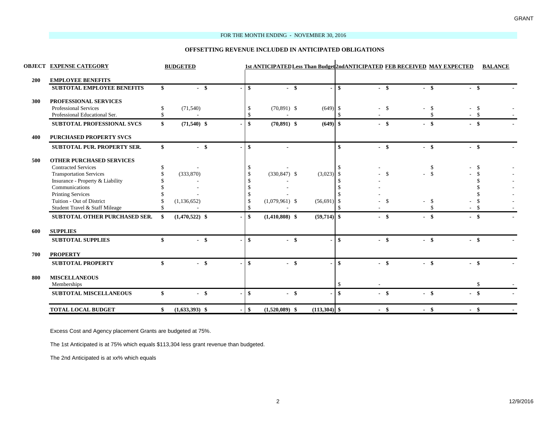#### FOR THE MONTH ENDING - NOVEMBER 30, 2016

#### **OFFSETTING REVENUE INCLUDED IN ANTICIPATED OBLIGATIONS**

|     | <b>OBJECT EXPENSE CATEGORY</b>      | <b>BUDGETED</b>        |        |                                 |              |                  |                |              | 1st ANTICIPATED Less Than Budget2ndANTICIPATED FEB RECEIVED MAY EXPECTED |               |        |      |        | <b>BALANCE</b> |  |
|-----|-------------------------------------|------------------------|--------|---------------------------------|--------------|------------------|----------------|--------------|--------------------------------------------------------------------------|---------------|--------|------|--------|----------------|--|
| 200 | <b>EMPLOYEE BENEFITS</b>            |                        |        |                                 |              |                  |                |              |                                                                          |               |        |      |        |                |  |
|     | <b>SUBTOTAL EMPLOYEE BENEFITS</b>   | \$                     | $-$ \$ | $\mathbf{s}$                    |              | $-$ \$           |                | -\$          | $-$ \$                                                                   |               | $-$ \$ |      | $-$ \$ |                |  |
| 300 | PROFESSIONAL SERVICES               |                        |        |                                 |              |                  |                |              |                                                                          |               |        |      |        |                |  |
|     | <b>Professional Services</b>        | \$<br>(71, 540)        |        | <sup>\$</sup>                   |              | $(70,891)$ \$    | $(649)$ \$     |              |                                                                          | -\$           |        | -\$  | - \$   |                |  |
|     | Professional Educational Ser.       | \$                     |        | $\mathbf{\$}$                   |              |                  |                |              |                                                                          |               |        |      | - \$   |                |  |
|     | <b>SUBTOTAL PROFESSIONAL SVCS</b>   | \$<br>$(71,540)$ \$    |        |                                 | $\mathbf{s}$ | $(70,891)$ \$    | $(649)$ \$     |              | $-$ \$                                                                   |               | $-$ \$ |      | $-$ \$ |                |  |
| 400 | <b>PURCHASED PROPERTY SVCS</b>      |                        |        |                                 |              |                  |                |              |                                                                          |               |        |      |        |                |  |
|     | SUBTOTAL PUR. PROPERTY SER.         | \$                     | $-$ \$ | $\mathbf{s}$                    |              |                  |                | \$           | $-$ \$                                                                   |               | $-$ \$ |      | $-$ \$ |                |  |
| 500 | <b>OTHER PURCHASED SERVICES</b>     |                        |        |                                 |              |                  |                |              |                                                                          |               |        |      |        |                |  |
|     | <b>Contracted Services</b>          | \$                     |        |                                 |              |                  |                |              |                                                                          |               |        | \$   | - \$   |                |  |
|     | <b>Transportation Services</b>      | (333,870)              |        |                                 |              | $(330, 847)$ \$  | $(3,023)$ \$   |              |                                                                          | -\$           |        | $-5$ |        |                |  |
|     | Insurance - Property & Liability    |                        |        |                                 |              |                  |                |              |                                                                          |               |        |      |        |                |  |
|     | Communications                      |                        |        |                                 |              |                  |                |              |                                                                          |               |        |      |        |                |  |
|     | <b>Printing Services</b>            |                        |        |                                 |              |                  |                |              |                                                                          |               |        |      |        |                |  |
|     | Tuition - Out of District           | (1, 136, 652)          |        | -S                              |              | $(1,079,961)$ \$ | (56, 691)      | -S           |                                                                          | <sup>\$</sup> |        | \$   |        |                |  |
|     | Student Travel & Staff Mileage      |                        |        | <sup>\$</sup>                   |              |                  |                |              |                                                                          |               |        | \$   |        |                |  |
|     | SUBTOTAL OTHER PURCHASED SER.       | \$<br>$(1,470,522)$ \$ |        | \$                              |              | $(1,410,808)$ \$ | $(59,714)$ \$  |              | - \$                                                                     |               | $-$ \$ |      | $-$ \$ |                |  |
| 600 | <b>SUPPLIES</b>                     |                        |        |                                 |              |                  |                |              |                                                                          |               |        |      |        |                |  |
|     | <b>SUBTOTAL SUPPLIES</b>            | \$                     | $-$ \$ | $\mathbf{s}$                    |              | $-$ \$           |                | \$           | $-$ \$                                                                   |               | $-$ \$ |      | $-$ \$ |                |  |
| 700 | <b>PROPERTY</b>                     |                        |        |                                 |              |                  |                |              |                                                                          |               |        |      |        |                |  |
|     | <b>SUBTOTAL PROPERTY</b>            | \$                     | $-$ \$ | $\mathbf{\$}$                   |              | $-$ \$           |                | \$           | $-$ \$                                                                   |               | $-$ \$ |      | $-$ \$ |                |  |
| 800 | <b>MISCELLANEOUS</b><br>Memberships |                        |        |                                 |              |                  |                |              |                                                                          |               |        |      | \$     |                |  |
|     | <b>SUBTOTAL MISCELLANEOUS</b>       | \$                     | $-$ \$ | $\mathbf{s}$                    |              | - \$             |                | $\mathbf{s}$ | $-$ \$                                                                   |               | $-$ \$ |      | $-$ \$ |                |  |
|     | <b>TOTAL LOCAL BUDGET</b>           | \$<br>$(1,633,393)$ \$ |        | $\sqrt[6]{3}$<br>$\blacksquare$ |              | $(1,520,089)$ \$ | $(113,304)$ \$ |              | $-$ \$                                                                   |               | $-$ \$ |      | $-$ \$ |                |  |

Excess Cost and Agency placement Grants are budgeted at 75%.

The 1st Anticipated is at 75% which equals \$113,304 less grant revenue than budgeted.

The 2nd Anticipated is at xx% which equals